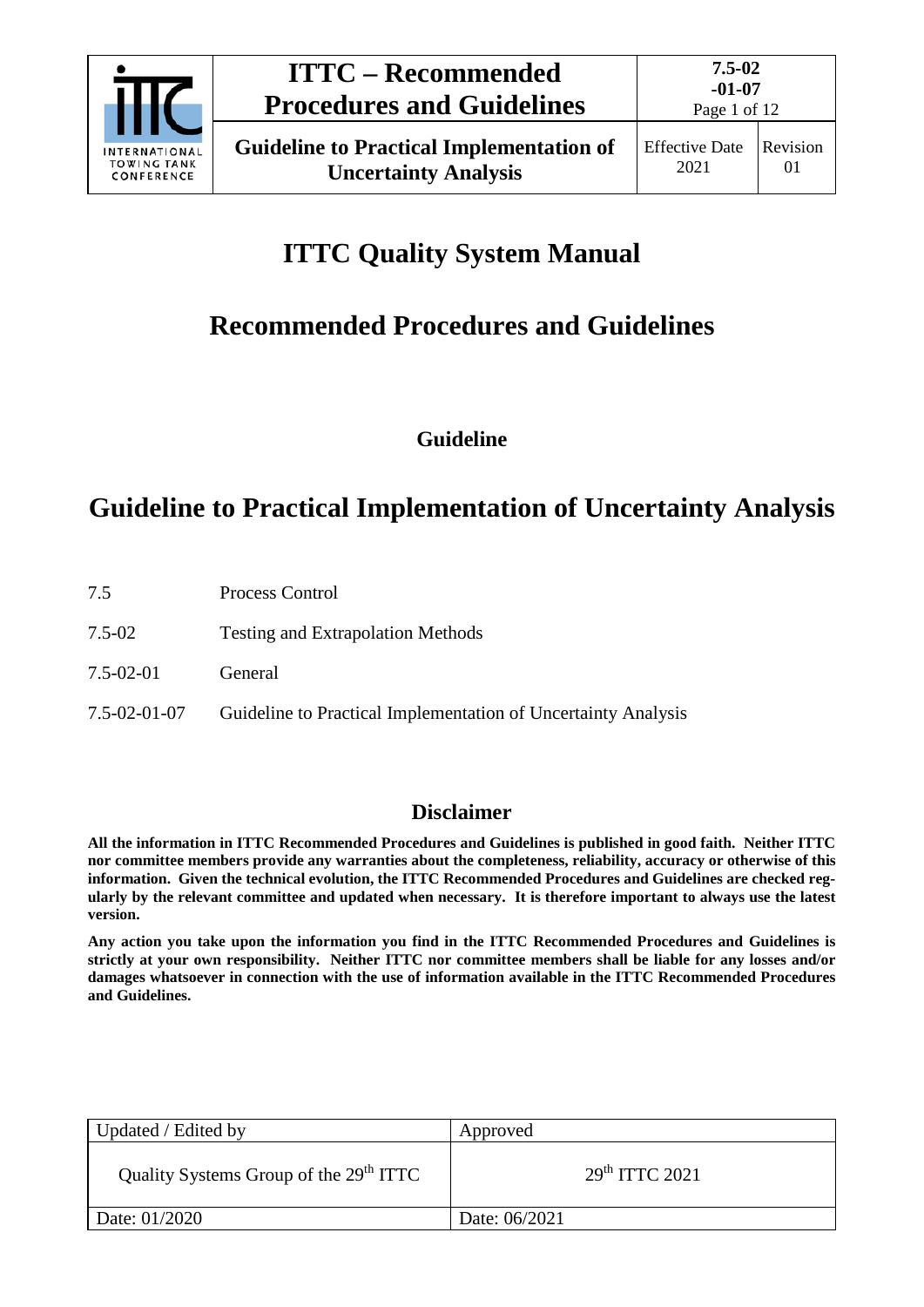

# **ITTC Quality System Manual**

# **Recommended Procedures and Guidelines**

**Guideline**

## **Guideline to Practical Implementation of Uncertainty Analysis**

| 7.5             | Process Control                                               |
|-----------------|---------------------------------------------------------------|
| 7.5-02          | <b>Testing and Extrapolation Methods</b>                      |
| $7.5 - 02 - 01$ | General                                                       |
| 7.5-02-01-07    | Guideline to Practical Implementation of Uncertainty Analysis |
|                 |                                                               |

### **Disclaimer**

**All the information in ITTC Recommended Procedures and Guidelines is published in good faith. Neither ITTC nor committee members provide any warranties about the completeness, reliability, accuracy or otherwise of this information. Given the technical evolution, the ITTC Recommended Procedures and Guidelines are checked regularly by the relevant committee and updated when necessary. It is therefore important to always use the latest version.**

**Any action you take upon the information you find in the ITTC Recommended Procedures and Guidelines is strictly at your own responsibility. Neither ITTC nor committee members shall be liable for any losses and/or damages whatsoever in connection with the use of information available in the ITTC Recommended Procedures and Guidelines.**

| Updated / Edited by                                | Approved                   |
|----------------------------------------------------|----------------------------|
| Quality Systems Group of the 29 <sup>th</sup> ITTC | 29 <sup>th</sup> TTTC 2021 |
| Date: 01/2020                                      | Date: 06/2021              |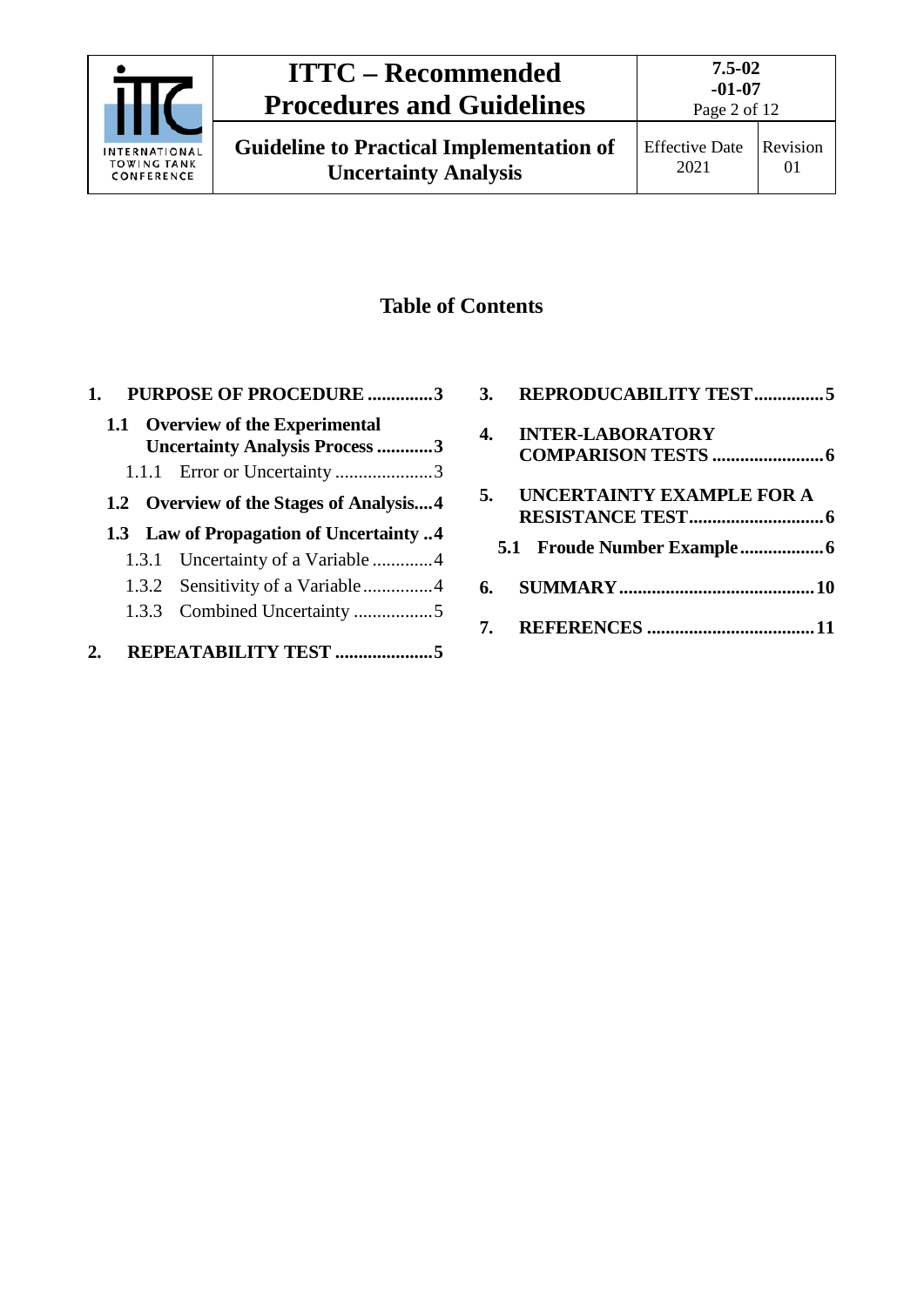

## **ITTC – Recommended Procedures and Guidelines**

## **Table of Contents**

| 1. |       | <b>PURPOSE OF PROCEDURE 3</b>           |  |
|----|-------|-----------------------------------------|--|
|    |       | 1.1 Overview of the Experimental        |  |
|    |       | <b>Uncertainty Analysis Process 3</b>   |  |
|    |       | 1.1.1 Error or Uncertainty 3            |  |
|    |       | 1.2 Overview of the Stages of Analysis4 |  |
|    |       | 1.3 Law of Propagation of Uncertainty 4 |  |
|    |       | 1.3.1 Uncertainty of a Variable 4       |  |
|    |       |                                         |  |
|    | 1.3.3 |                                         |  |
|    |       | REPEATABILITY TEST                      |  |

|    | 3. REPRODUCABILITY TEST5  |
|----|---------------------------|
| 4. | <b>INTER-LABORATORY</b>   |
|    |                           |
| 5. | UNCERTAINTY EXAMPLE FOR A |
|    |                           |
|    |                           |
|    |                           |
|    |                           |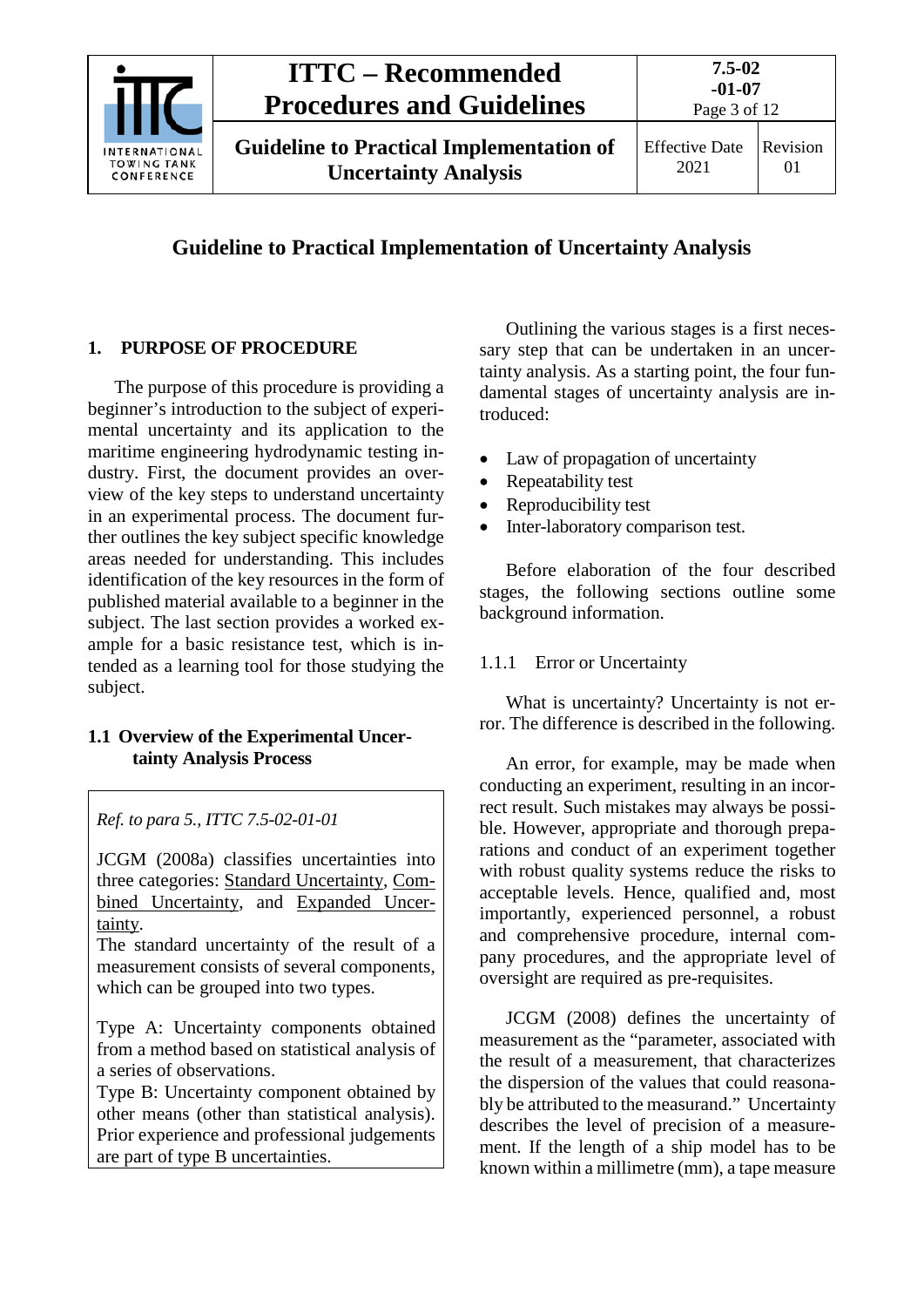

### **Guideline to Practical Implementation of Uncertainty Analysis**

#### <span id="page-2-0"></span>**1. PURPOSE OF PROCEDURE**

The purpose of this procedure is providing a beginner's introduction to the subject of experimental uncertainty and its application to the maritime engineering hydrodynamic testing industry. First, the document provides an overview of the key steps to understand uncertainty in an experimental process. The document further outlines the key subject specific knowledge areas needed for understanding. This includes identification of the key resources in the form of published material available to a beginner in the subject. The last section provides a worked example for a basic resistance test, which is intended as a learning tool for those studying the subject.

#### <span id="page-2-1"></span>**1.1 Overview of the Experimental Uncertainty Analysis Process**

*Ref. to para 5., ITTC 7.5-02-01-01*

JCGM (2008a) classifies uncertainties into three categories: Standard Uncertainty, Combined Uncertainty, and Expanded Uncertainty.

The standard uncertainty of the result of a measurement consists of several components, which can be grouped into two types.

Type A: Uncertainty components obtained from a method based on statistical analysis of a series of observations.

Type B: Uncertainty component obtained by other means (other than statistical analysis). Prior experience and professional judgements are part of type B uncertainties.

Outlining the various stages is a first necessary step that can be undertaken in an uncertainty analysis. As a starting point, the four fundamental stages of uncertainty analysis are introduced:

- Law of propagation of uncertainty
- Repeatability test
- Reproducibility test
- Inter-laboratory comparison test.

Before elaboration of the four described stages, the following sections outline some background information.

#### <span id="page-2-2"></span>1.1.1 Error or Uncertainty

What is uncertainty? Uncertainty is not error. The difference is described in the following.

An error, for example, may be made when conducting an experiment, resulting in an incorrect result. Such mistakes may always be possible. However, appropriate and thorough preparations and conduct of an experiment together with robust quality systems reduce the risks to acceptable levels. Hence, qualified and, most importantly, experienced personnel, a robust and comprehensive procedure, internal company procedures, and the appropriate level of oversight are required as pre-requisites.

JCGM (2008) defines the uncertainty of measurement as the "parameter, associated with the result of a measurement, that characterizes the dispersion of the values that could reasonably be attributed to the measurand." Uncertainty describes the level of precision of a measurement. If the length of a ship model has to be known within a millimetre (mm), a tape measure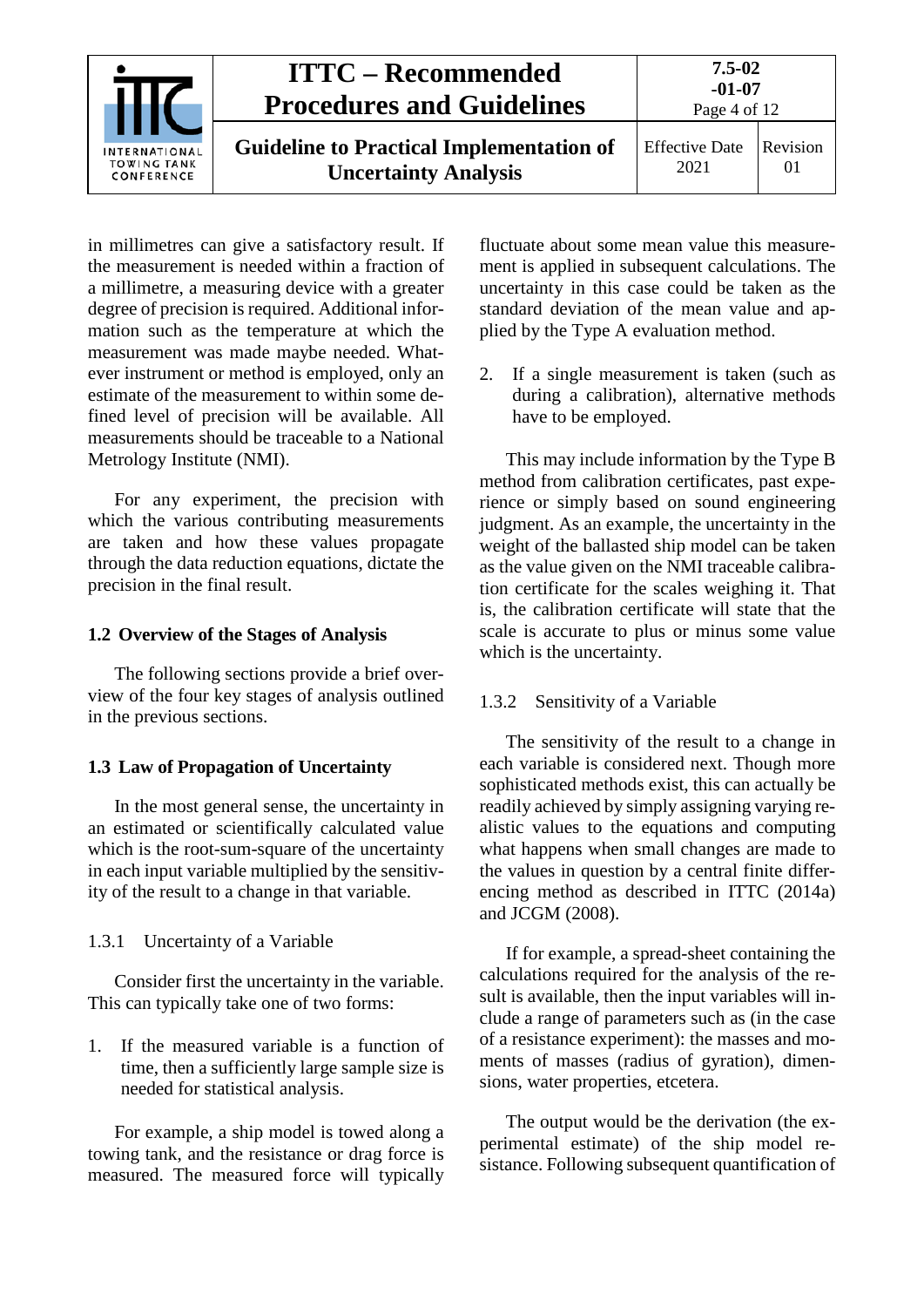

in millimetres can give a satisfactory result. If the measurement is needed within a fraction of a millimetre, a measuring device with a greater degree of precision is required. Additional information such as the temperature at which the measurement was made maybe needed. Whatever instrument or method is employed, only an estimate of the measurement to within some defined level of precision will be available. All measurements should be traceable to a National Metrology Institute (NMI).

For any experiment, the precision with which the various contributing measurements are taken and how these values propagate through the data reduction equations, dictate the precision in the final result.

#### <span id="page-3-0"></span>**1.2 Overview of the Stages of Analysis**

The following sections provide a brief overview of the four key stages of analysis outlined in the previous sections.

#### <span id="page-3-1"></span>**1.3 Law of Propagation of Uncertainty**

In the most general sense, the uncertainty in an estimated or scientifically calculated value which is the root-sum-square of the uncertainty in each input variable multiplied by the sensitivity of the result to a change in that variable.

#### <span id="page-3-2"></span>1.3.1 Uncertainty of a Variable

Consider first the uncertainty in the variable. This can typically take one of two forms:

1. If the measured variable is a function of time, then a sufficiently large sample size is needed for statistical analysis.

For example, a ship model is towed along a towing tank, and the resistance or drag force is measured. The measured force will typically fluctuate about some mean value this measurement is applied in subsequent calculations. The uncertainty in this case could be taken as the standard deviation of the mean value and applied by the Type A evaluation method.

2. If a single measurement is taken (such as during a calibration), alternative methods have to be employed.

This may include information by the Type B method from calibration certificates, past experience or simply based on sound engineering judgment. As an example, the uncertainty in the weight of the ballasted ship model can be taken as the value given on the NMI traceable calibration certificate for the scales weighing it. That is, the calibration certificate will state that the scale is accurate to plus or minus some value which is the uncertainty.

#### <span id="page-3-3"></span>1.3.2 Sensitivity of a Variable

The sensitivity of the result to a change in each variable is considered next. Though more sophisticated methods exist, this can actually be readily achieved by simply assigning varying realistic values to the equations and computing what happens when small changes are made to the values in question by a central finite differencing method as described in ITTC (2014a) and JCGM (2008).

If for example, a spread-sheet containing the calculations required for the analysis of the result is available, then the input variables will include a range of parameters such as (in the case of a resistance experiment): the masses and moments of masses (radius of gyration), dimensions, water properties, etcetera.

The output would be the derivation (the experimental estimate) of the ship model resistance. Following subsequent quantification of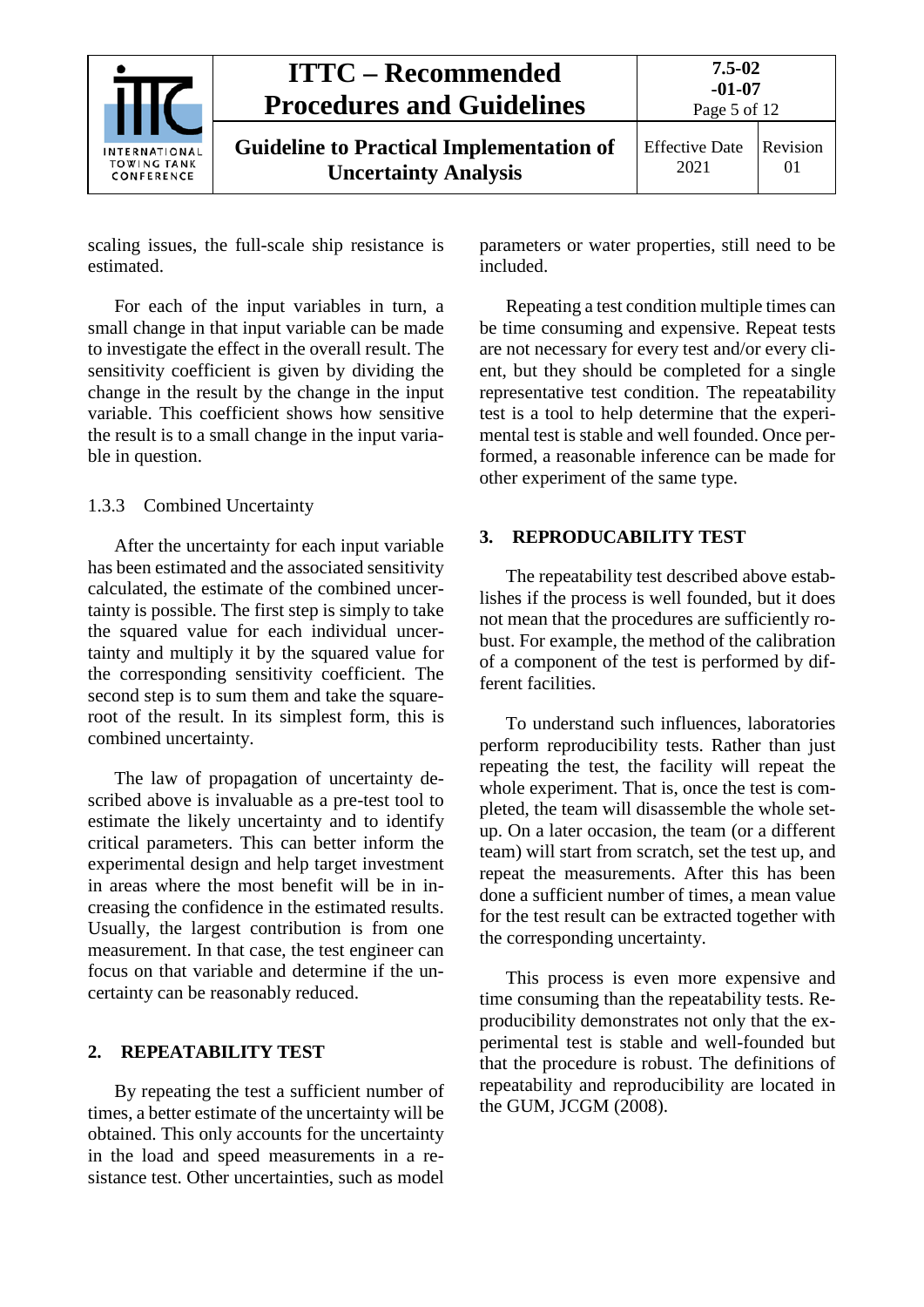| <b>INTERNATIONAL</b><br><b>TOWING TANK</b><br>CONFERENCE | <b>ITTC – Recommended</b><br><b>Procedures and Guidelines</b>                  | $7.5 - 02$<br>$-01-07$<br>Page 5 of 12 |                |
|----------------------------------------------------------|--------------------------------------------------------------------------------|----------------------------------------|----------------|
|                                                          | <b>Guideline to Practical Implementation of</b><br><b>Uncertainty Analysis</b> | <b>Effective Date</b><br>2021          | Revision<br>01 |

scaling issues, the full-scale ship resistance is estimated.

For each of the input variables in turn, a small change in that input variable can be made to investigate the effect in the overall result. The sensitivity coefficient is given by dividing the change in the result by the change in the input variable. This coefficient shows how sensitive the result is to a small change in the input variable in question.

#### <span id="page-4-0"></span>1.3.3 Combined Uncertainty

After the uncertainty for each input variable has been estimated and the associated sensitivity calculated, the estimate of the combined uncertainty is possible. The first step is simply to take the squared value for each individual uncertainty and multiply it by the squared value for the corresponding sensitivity coefficient. The second step is to sum them and take the squareroot of the result. In its simplest form, this is combined uncertainty.

The law of propagation of uncertainty described above is invaluable as a pre-test tool to estimate the likely uncertainty and to identify critical parameters. This can better inform the experimental design and help target investment in areas where the most benefit will be in increasing the confidence in the estimated results. Usually, the largest contribution is from one measurement. In that case, the test engineer can focus on that variable and determine if the uncertainty can be reasonably reduced.

#### <span id="page-4-1"></span>**2. REPEATABILITY TEST**

By repeating the test a sufficient number of times, a better estimate of the uncertainty will be obtained. This only accounts for the uncertainty in the load and speed measurements in a resistance test. Other uncertainties, such as model

parameters or water properties, still need to be included.

Repeating a test condition multiple times can be time consuming and expensive. Repeat tests are not necessary for every test and/or every client, but they should be completed for a single representative test condition. The repeatability test is a tool to help determine that the experimental test is stable and well founded. Once performed, a reasonable inference can be made for other experiment of the same type.

#### <span id="page-4-2"></span>**3. REPRODUCABILITY TEST**

The repeatability test described above establishes if the process is well founded, but it does not mean that the procedures are sufficiently robust. For example, the method of the calibration of a component of the test is performed by different facilities.

To understand such influences, laboratories perform reproducibility tests. Rather than just repeating the test, the facility will repeat the whole experiment. That is, once the test is completed, the team will disassemble the whole setup. On a later occasion, the team (or a different team) will start from scratch, set the test up, and repeat the measurements. After this has been done a sufficient number of times, a mean value for the test result can be extracted together with the corresponding uncertainty.

This process is even more expensive and time consuming than the repeatability tests. Reproducibility demonstrates not only that the experimental test is stable and well-founded but that the procedure is robust. The definitions of repeatability and reproducibility are located in the GUM, JCGM (2008).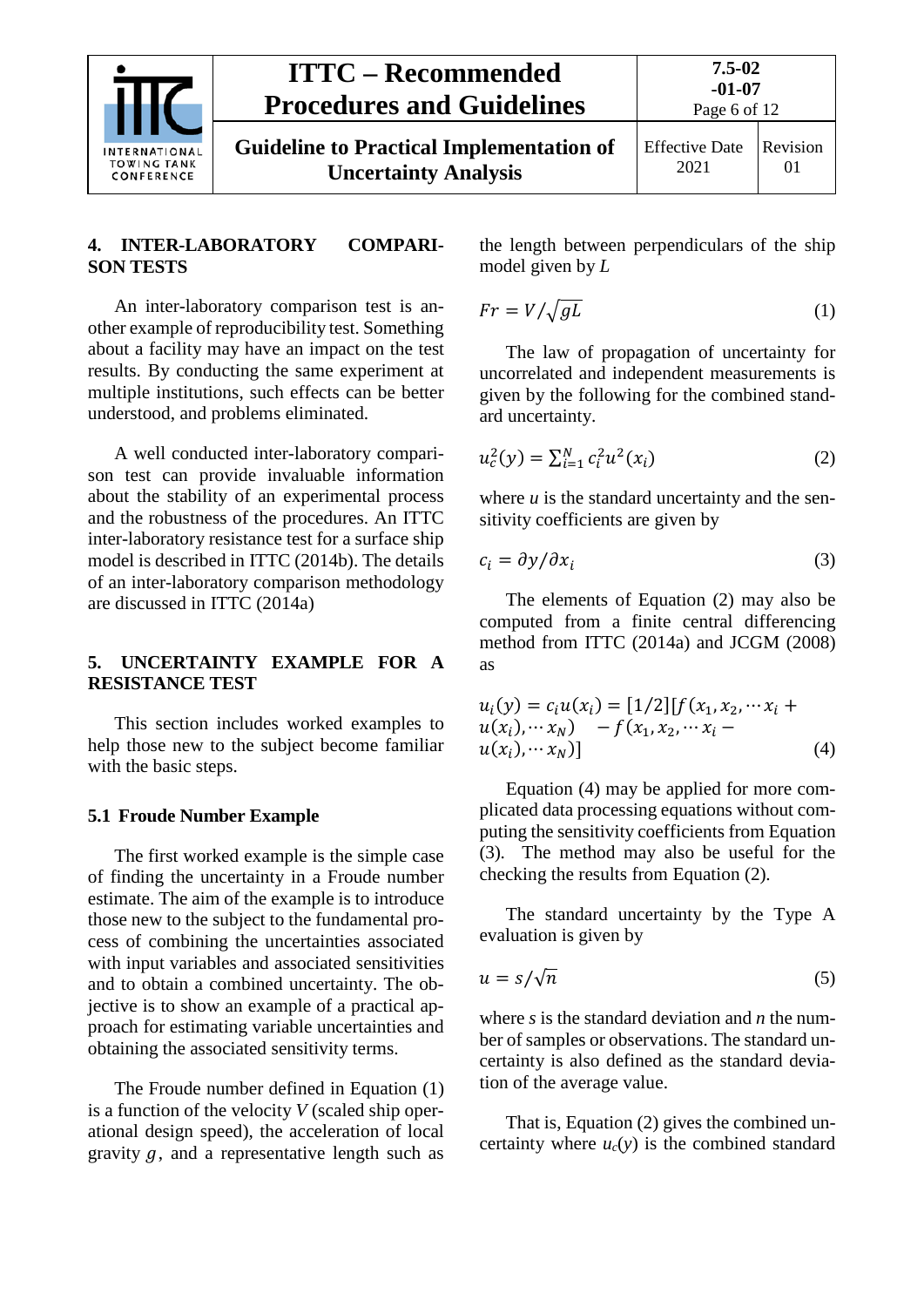| <b>INTERNATIONAL</b><br><b>TOWING TANK</b><br>CONFERENCE | <b>ITTC – Recommended</b><br><b>Procedures and Guidelines</b>                  | $7.5 - 02$<br>$-01-07$<br>Page 6 of 12 |                |
|----------------------------------------------------------|--------------------------------------------------------------------------------|----------------------------------------|----------------|
|                                                          | <b>Guideline to Practical Implementation of</b><br><b>Uncertainty Analysis</b> | <b>Effective Date</b><br>2021          | Revision<br>01 |

#### <span id="page-5-0"></span>**4. INTER-LABORATORY COMPARI-SON TESTS**

An inter-laboratory comparison test is another example of reproducibility test. Something about a facility may have an impact on the test results. By conducting the same experiment at multiple institutions, such effects can be better understood, and problems eliminated.

A well conducted inter-laboratory comparison test can provide invaluable information about the stability of an experimental process and the robustness of the procedures. An ITTC inter-laboratory resistance test for a surface ship model is described in ITTC (2014b). The details of an inter-laboratory comparison methodology are discussed in ITTC (2014a)

#### <span id="page-5-1"></span>**5. UNCERTAINTY EXAMPLE FOR A RESISTANCE TEST**

This section includes worked examples to help those new to the subject become familiar with the basic steps.

#### <span id="page-5-2"></span>**5.1 Froude Number Example**

The first worked example is the simple case of finding the uncertainty in a Froude number estimate. The aim of the example is to introduce those new to the subject to the fundamental process of combining the uncertainties associated with input variables and associated sensitivities and to obtain a combined uncertainty. The objective is to show an example of a practical approach for estimating variable uncertainties and obtaining the associated sensitivity terms.

The Froude number defined in Equation (1) is a function of the velocity *V* (scaled ship operational design speed), the acceleration of local gravity  $q$ , and a representative length such as the length between perpendiculars of the ship model given by *L*

<span id="page-5-6"></span>
$$
Fr = V / \sqrt{gL} \tag{1}
$$

The law of propagation of uncertainty for uncorrelated and independent measurements is given by the following for the combined standard uncertainty.

<span id="page-5-3"></span>
$$
u_c^2(y) = \sum_{i=1}^N c_i^2 u^2(x_i)
$$
 (2)

where  $u$  is the standard uncertainty and the sensitivity coefficients are given by

<span id="page-5-5"></span>
$$
c_i = \frac{\partial y}{\partial x_i} \tag{3}
$$

The elements of Equation [\(2\)](#page-5-3) may also be computed from a finite central differencing method from ITTC (2014a) and JCGM (2008) as

<span id="page-5-4"></span>
$$
u_i(y) = c_i u(x_i) = [1/2][f(x_1, x_2, \cdots x_i + u(x_i), \cdots x_N) - f(x_1, x_2, \cdots x_i - u(x_i), \cdots x_N)]
$$
\n(4)

Equation [\(4\)](#page-5-4) may be applied for more complicated data processing equations without computing the sensitivity coefficients from Equation [\(3\).](#page-5-5) The method may also be useful for the checking the results from Equation [\(2\).](#page-5-3)

The standard uncertainty by the Type A evaluation is given by

$$
u = s/\sqrt{n} \tag{5}
$$

where *s* is the standard deviation and *n* the number of samples or observations. The standard uncertainty is also defined as the standard deviation of the average value.

That is, Equation [\(2\)](#page-5-3) gives the combined uncertainty where  $u_c(y)$  is the combined standard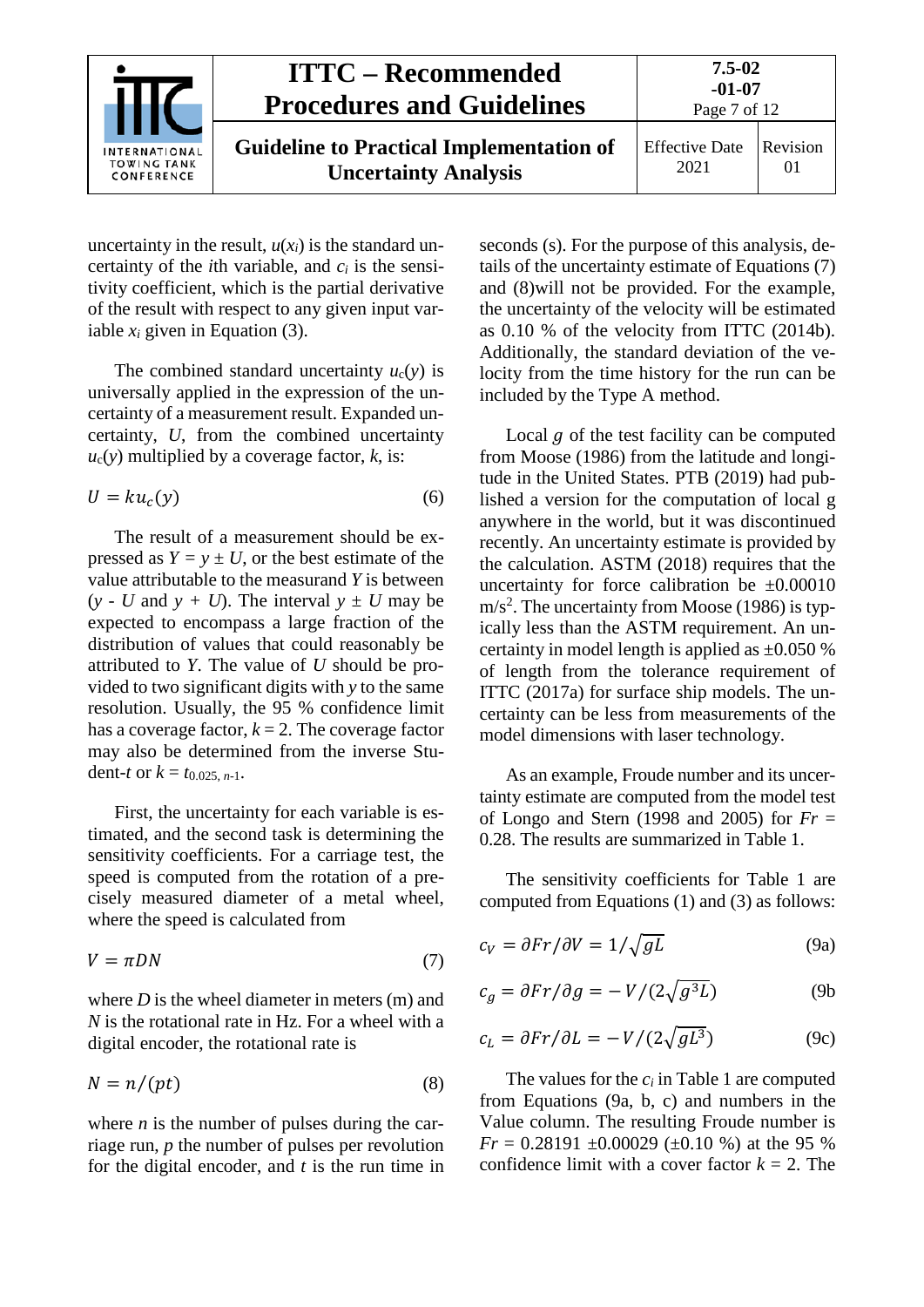

uncertainty in the result,  $u(x_i)$  is the standard uncertainty of the *i*th variable, and  $c_i$  is the sensitivity coefficient, which is the partial derivative of the result with respect to any given input variable  $x_i$  given in Equation [\(3\).](#page-5-5)

The combined standard uncertainty  $u_c(y)$  is universally applied in the expression of the uncertainty of a measurement result. Expanded uncertainty, *U*, from the combined uncertainty  $u_c(y)$  multiplied by a coverage factor,  $k$ , is:

$$
U = ku_c(y) \tag{6}
$$

The result of a measurement should be expressed as  $Y = y \pm U$ , or the best estimate of the value attributable to the measurand *Y* is between  $(y - U$  and  $y + U$ ). The interval  $y \pm U$  may be expected to encompass a large fraction of the distribution of values that could reasonably be attributed to *Y*. The value of *U* should be provided to two significant digits with *y* to the same resolution. Usually, the 95 % confidence limit has a coverage factor,  $k = 2$ . The coverage factor may also be determined from the inverse Student-*t* or  $k = t_0$  025, *n*-1.

First, the uncertainty for each variable is estimated, and the second task is determining the sensitivity coefficients. For a carriage test, the speed is computed from the rotation of a precisely measured diameter of a metal wheel, where the speed is calculated from

$$
V = \pi DN \tag{7}
$$

where *D* is the wheel diameter in meters (m) and *N* is the rotational rate in Hz. For a wheel with a digital encoder, the rotational rate is

$$
N = n/(pt) \tag{8}
$$

where  $n$  is the number of pulses during the carriage run, *p* the number of pulses per revolution for the digital encoder, and *t* is the run time in seconds (s). For the purpose of this analysis, details of the uncertainty estimate of Equations [\(7\)](#page-6-0) and [\(8\)w](#page-6-1)ill not be provided. For the example, the uncertainty of the velocity will be estimated as 0.10 % of the velocity from ITTC (2014b). Additionally, the standard deviation of the velocity from the time history for the run can be included by the Type A method.

Local  $q$  of the test facility can be computed from Moose (1986) from the latitude and longitude in the United States. PTB (2019) had published a version for the computation of local g anywhere in the world, but it was discontinued recently. An uncertainty estimate is provided by the calculation. ASTM (2018) requires that the uncertainty for force calibration be  $\pm 0.00010$  $m/s<sup>2</sup>$ . The uncertainty from Moose (1986) is typically less than the ASTM requirement. An uncertainty in model length is applied as  $\pm 0.050$  % of length from the tolerance requirement of ITTC (2017a) for surface ship models. The uncertainty can be less from measurements of the model dimensions with laser technology.

As an example, Froude number and its uncertainty estimate are computed from the model test of Longo and Stern (1998 and 2005) for  $Fr =$ 0.28. The results are summarized in [Table 1.](#page-7-0)

The sensitivity coefficients for [Table 1](#page-7-0) are computed from Equations [\(1\)](#page-5-6) and [\(3\)](#page-5-5) as follows:

<span id="page-6-2"></span><span id="page-6-0"></span>
$$
c_V = \partial Fr / \partial V = 1 / \sqrt{gL} \tag{9a}
$$

$$
c_g = \partial Fr / \partial g = -V / (2\sqrt{g^3 L})
$$
 (9b)

$$
c_L = \partial Fr / \partial L = -V / (2\sqrt{gL^3})
$$
 (9c)

<span id="page-6-1"></span>The values for the *ci* in [Table 1](#page-7-0) are computed from Equations [\(9a](#page-6-2), b, c) and numbers in the Value column. The resulting Froude number is  $Fr = 0.28191 \pm 0.00029 \pm 0.10$  %) at the 95 % confidence limit with a cover factor  $k = 2$ . The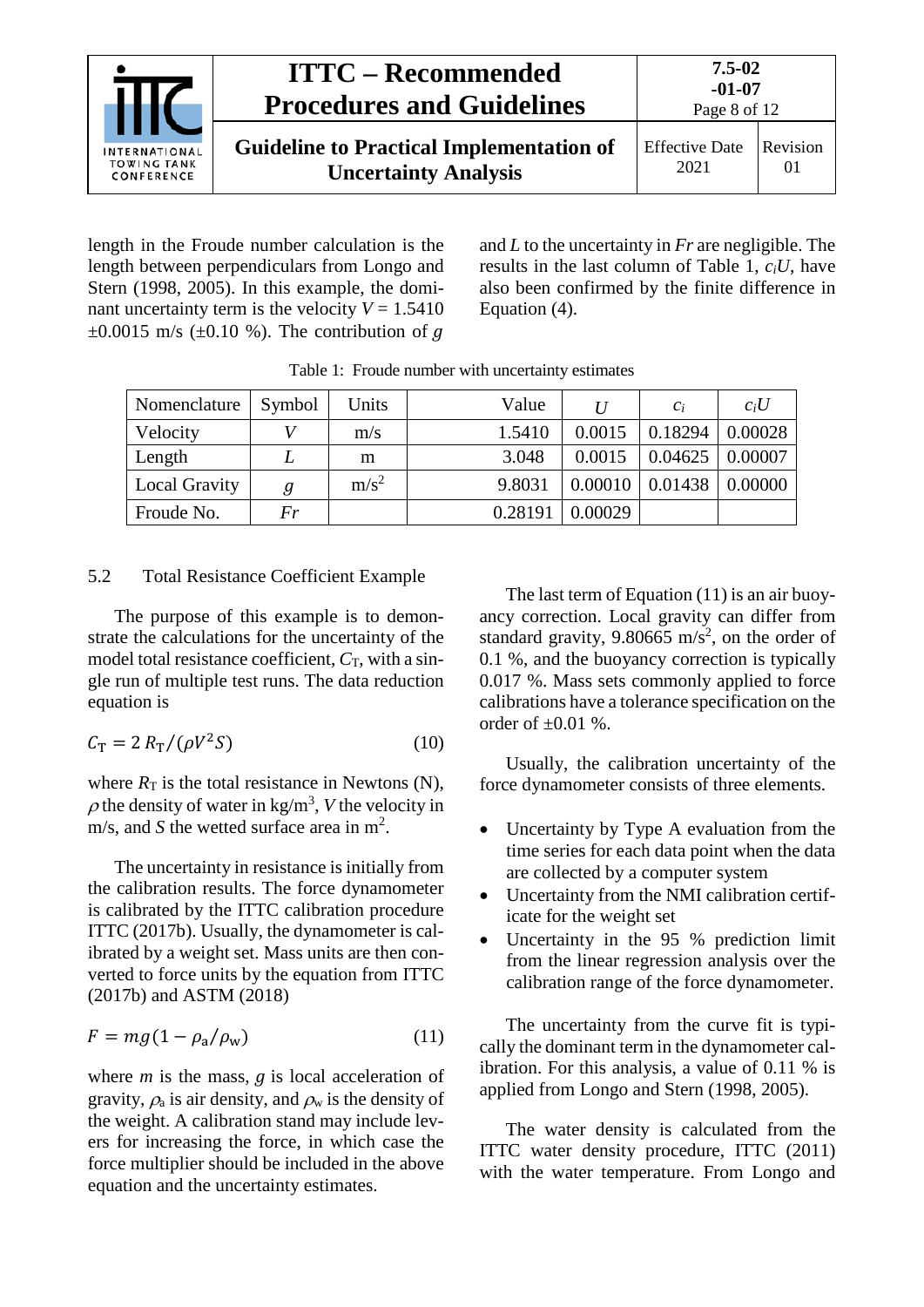

length in the Froude number calculation is the length between perpendiculars from Longo and Stern (1998, 2005). In this example, the dominant uncertainty term is the velocity  $V = 1.5410$  $\pm 0.0015$  m/s ( $\pm 0.10$  %). The contribution of q

and *L* to the uncertainty in *Fr* are negligible. The results in the last column of [Table 1,](#page-7-0) *ciU*, have also been confirmed by the finite difference in Equation [\(4\).](#page-5-4)

<span id="page-7-0"></span>

| Nomenclature         | Symbol | Units   | Value   |                     | $\mathfrak{C}_i$ | $c_i U$ |
|----------------------|--------|---------|---------|---------------------|------------------|---------|
| Velocity             |        | m/s     | 1.5410  | 0.0015              | 0.18294          | 0.00028 |
| Length               |        | m       | 3.048   | 0.0015              | 0.04625          | 0.00007 |
| <b>Local Gravity</b> | g      | $m/s^2$ | 9.8031  | $0.00010$   0.01438 |                  | 0.00000 |
| Froude No.           | Fr     |         | 0.28191 | 0.00029             |                  |         |

Table 1: Froude number with uncertainty estimates

#### 5.2 Total Resistance Coefficient Example

The purpose of this example is to demonstrate the calculations for the uncertainty of the model total resistance coefficient,  $C_T$ , with a single run of multiple test runs. The data reduction equation is

$$
C_{\rm T} = 2 R_{\rm T} / (\rho V^2 S) \tag{10}
$$

where  $R_T$  is the total resistance in Newtons (N),  $\rho$  the density of water in kg/m<sup>3</sup>, *V* the velocity in m/s, and *S* the wetted surface area in  $m^2$ .

The uncertainty in resistance is initially from the calibration results. The force dynamometer is calibrated by the ITTC calibration procedure ITTC (2017b). Usually, the dynamometer is calibrated by a weight set. Mass units are then converted to force units by the equation from ITTC (2017b) and ASTM (2018)

$$
F = mg(1 - \rho_a/\rho_w) \tag{11}
$$

where  $m$  is the mass,  $q$  is local acceleration of gravity,  $\rho_a$  is air density, and  $\rho_w$  is the density of the weight. A calibration stand may include levers for increasing the force, in which case the force multiplier should be included in the above equation and the uncertainty estimates.

The last term of Equation [\(11\)](#page-7-1) is an air buoyancy correction. Local gravity can differ from standard gravity, 9.80665 m/s<sup>2</sup>, on the order of 0.1 %, and the buoyancy correction is typically 0.017 %. Mass sets commonly applied to force calibrations have a tolerance specification on the order of  $\pm 0.01$  %.

<span id="page-7-2"></span>Usually, the calibration uncertainty of the force dynamometer consists of three elements.

- Uncertainty by Type A evaluation from the time series for each data point when the data are collected by a computer system
- Uncertainty from the NMI calibration certificate for the weight set
- Uncertainty in the 95 % prediction limit from the linear regression analysis over the calibration range of the force dynamometer.

<span id="page-7-1"></span>The uncertainty from the curve fit is typically the dominant term in the dynamometer calibration. For this analysis, a value of 0.11 % is applied from Longo and Stern (1998, 2005).

The water density is calculated from the ITTC water density procedure, ITTC (2011) with the water temperature. From Longo and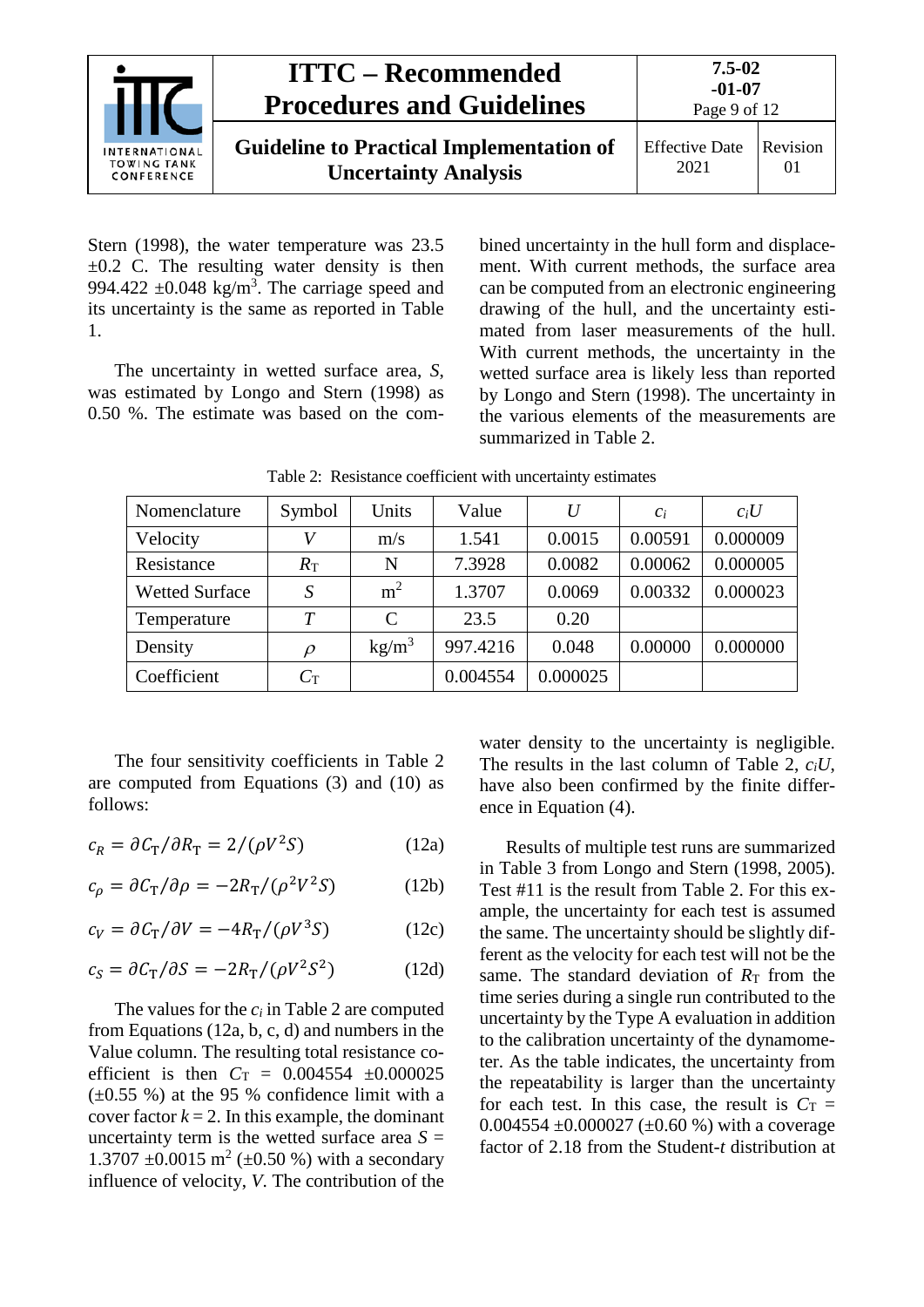| <b>INTERNATIONAL</b><br><b>TOWING TANK</b><br>CONFERENCE | <b>ITTC – Recommended</b><br><b>Procedures and Guidelines</b>                  | $7.5 - 02$<br>$-01-07$<br>Page 9 of 12 |                |
|----------------------------------------------------------|--------------------------------------------------------------------------------|----------------------------------------|----------------|
|                                                          | <b>Guideline to Practical Implementation of</b><br><b>Uncertainty Analysis</b> | <b>Effective Date</b><br>2021          | Revision<br>01 |

Stern (1998), the water temperature was 23.5  $\pm 0.2$  C. The resulting water density is then 994.422  $\pm$ 0.048 kg/m<sup>3</sup>. The carriage speed and its uncertainty is the same as reported in [Table](#page-7-0)  [1.](#page-7-0)

The uncertainty in wetted surface area, *S*, was estimated by Longo and Stern (1998) as 0.50 %. The estimate was based on the com-

bined uncertainty in the hull form and displacement. With current methods, the surface area can be computed from an electronic engineering drawing of the hull, and the uncertainty estimated from laser measurements of the hull. With current methods, the uncertainty in the wetted surface area is likely less than reported by Longo and Stern (1998). The uncertainty in the various elements of the measurements are summarized in [Table 2.](#page-8-0)

<span id="page-8-0"></span>

| Nomenclature          | Symbol           | Units             | Value    | U        | $\mathcal{C}_i$ | $c_iU$   |
|-----------------------|------------------|-------------------|----------|----------|-----------------|----------|
| Velocity              | V                | m/s               | 1.541    | 0.0015   | 0.00591         | 0.000009 |
| Resistance            | $R_{\rm T}$      | N                 | 7.3928   | 0.0082   | 0.00062         | 0.000005 |
| <b>Wetted Surface</b> | S                | m <sup>2</sup>    | 1.3707   | 0.0069   | 0.00332         | 0.000023 |
| Temperature           | T                | C                 | 23.5     | 0.20     |                 |          |
| Density               | $\rho$           | kg/m <sup>3</sup> | 997.4216 | 0.048    | 0.00000         | 0.000000 |
| Coefficient           | $C_{\mathrm{T}}$ |                   | 0.004554 | 0.000025 |                 |          |

Table 2: Resistance coefficient with uncertainty estimates

The four sensitivity coefficients in [Table 2](#page-8-0) are computed from Equations (3) and [\(10\)](#page-7-2) as follows:

$$
c_R = \partial C_T / \partial R_T = 2/(\rho V^2 S)
$$
 (12a)

$$
c_{\rho} = \partial C_{\rm T} / \partial \rho = -2R_{\rm T} / (\rho^2 V^2 S) \tag{12b}
$$

$$
c_V = \partial C_T / \partial V = -4R_T / (\rho V^3 S) \tag{12c}
$$

$$
c_S = \partial C_T / \partial S = -2R_T / (\rho V^2 S^2)
$$
 (12d)

The values for the *ci* i[n Table 2](#page-8-0) are computed from Equations [\(12a](#page-8-1), b, c, d) and numbers in the Value column. The resulting total resistance coefficient is then  $C_T = 0.004554 \pm 0.000025$  $(\pm 0.55 \%)$  at the 95 % confidence limit with a cover factor  $k = 2$ . In this example, the dominant uncertainty term is the wetted surface area  $S =$ 1.3707  $\pm 0.0015$  m<sup>2</sup> ( $\pm 0.50$  %) with a secondary influence of velocity, *V*. The contribution of the

water density to the uncertainty is negligible. The results in the last column of [Table 2,](#page-8-0) *ciU*, have also been confirmed by the finite difference in Equation [\(4\).](#page-5-4)

<span id="page-8-1"></span>Results of multiple test runs are summarized in [Table 3](#page-9-1) from Longo and Stern (1998, 2005). Test #11 is the result from [Table 2.](#page-8-0) For this example, the uncertainty for each test is assumed the same. The uncertainty should be slightly different as the velocity for each test will not be the same. The standard deviation of  $R<sub>T</sub>$  from the time series during a single run contributed to the uncertainty by the Type A evaluation in addition to the calibration uncertainty of the dynamometer. As the table indicates, the uncertainty from the repeatability is larger than the uncertainty for each test. In this case, the result is  $C_T$  = 0.004554  $\pm$ 0.000027 ( $\pm$ 0.60 %) with a coverage factor of 2.18 from the Student-*t* distribution at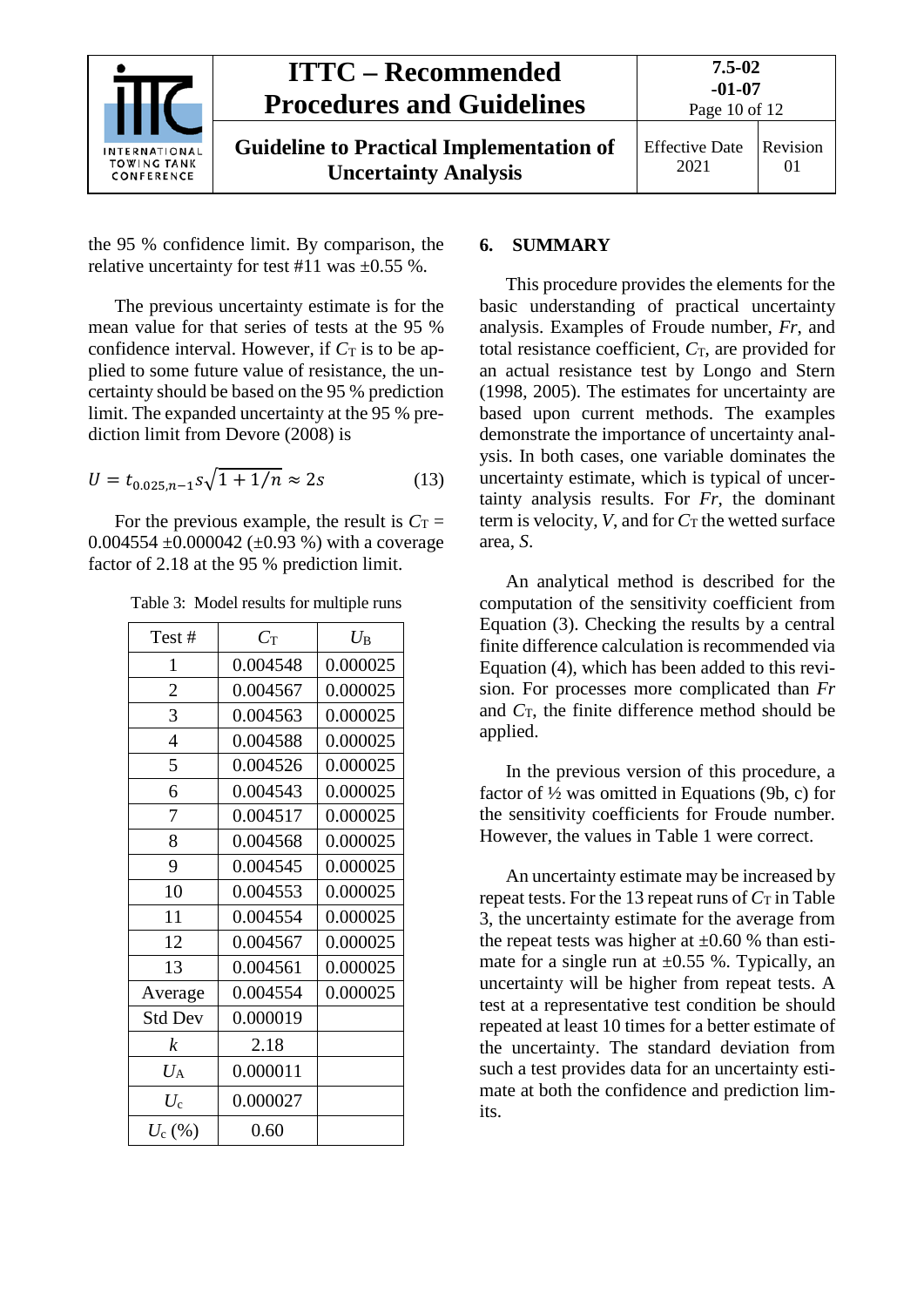

the 95 % confidence limit. By comparison, the relative uncertainty for test #11 was  $\pm 0.55$  %.

The previous uncertainty estimate is for the mean value for that series of tests at the 95 % confidence interval. However, if  $C_T$  is to be applied to some future value of resistance, the uncertainty should be based on the 95 % prediction limit. The expanded uncertainty at the 95 % prediction limit from Devore (2008) is

$$
U = t_{0.025, n-1} s \sqrt{1 + 1/n} \approx 2s \tag{13}
$$

For the previous example, the result is  $C_T =$ 0.004554  $\pm$ 0.000042 ( $\pm$ 0.93 %) with a coverage factor of 2.18 at the 95 % prediction limit.

<span id="page-9-1"></span>

|  |  |  |  | Table 3: Model results for multiple runs |  |
|--|--|--|--|------------------------------------------|--|
|--|--|--|--|------------------------------------------|--|

| Test#           | $C_{\mathrm{T}}$ | $U_{\rm B}$ |  |
|-----------------|------------------|-------------|--|
| 1               | 0.004548         | 0.000025    |  |
| $\overline{2}$  | 0.004567         | 0.000025    |  |
| 3               | 0.004563         | 0.000025    |  |
| $\overline{4}$  | 0.004588         | 0.000025    |  |
| 5               | 0.004526         | 0.000025    |  |
| 6               | 0.004543         | 0.000025    |  |
| 7               | 0.004517         | 0.000025    |  |
| 8               | 0.004568         | 0.000025    |  |
| 9               | 0.004545         | 0.000025    |  |
| 10              | 0.004553         | 0.000025    |  |
| 11              | 0.004554         | 0.000025    |  |
| 12              | 0.004567         | 0.000025    |  |
| 13              | 0.004561         | 0.000025    |  |
| Average         | 0.004554         | 0.000025    |  |
| <b>Std Dev</b>  | 0.000019         |             |  |
| k               | 2.18             |             |  |
| $U_{\rm A}$     | 0.000011         |             |  |
| $U_{\rm c}$     | 0.000027         |             |  |
| $U_{\rm c}$ (%) | 0.60             |             |  |

#### <span id="page-9-0"></span>**6. SUMMARY**

This procedure provides the elements for the basic understanding of practical uncertainty analysis. Examples of Froude number, *Fr*, and total resistance coefficient,  $C_T$ , are provided for an actual resistance test by Longo and Stern (1998, 2005). The estimates for uncertainty are based upon current methods. The examples demonstrate the importance of uncertainty analysis. In both cases, one variable dominates the uncertainty estimate, which is typical of uncertainty analysis results. For *Fr*, the dominant term is velocity,  $V$ , and for  $C_T$  the wetted surface area, *S*.

An analytical method is described for the computation of the sensitivity coefficient from Equation (3). Checking the results by a central finite difference calculation is recommended via Equation [\(4\)](#page-5-4), which has been added to this revision. For processes more complicated than *Fr* and  $C_T$ , the finite difference method should be applied.

In the previous version of this procedure, a factor of  $\frac{1}{2}$  was omitted in Equations [\(9b](#page-6-2), c) for the sensitivity coefficients for Froude number. However, the values in [Table 1](#page-7-0) were correct.

An uncertainty estimate may be increased by repeat tests. For the 13 repeat runs of  $C_T$  in Table [3,](#page-9-1) the uncertainty estimate for the average from the repeat tests was higher at  $\pm 0.60$  % than estimate for a single run at  $\pm 0.55$  %. Typically, an uncertainty will be higher from repeat tests. A test at a representative test condition be should repeated at least 10 times for a better estimate of the uncertainty. The standard deviation from such a test provides data for an uncertainty estimate at both the confidence and prediction limits.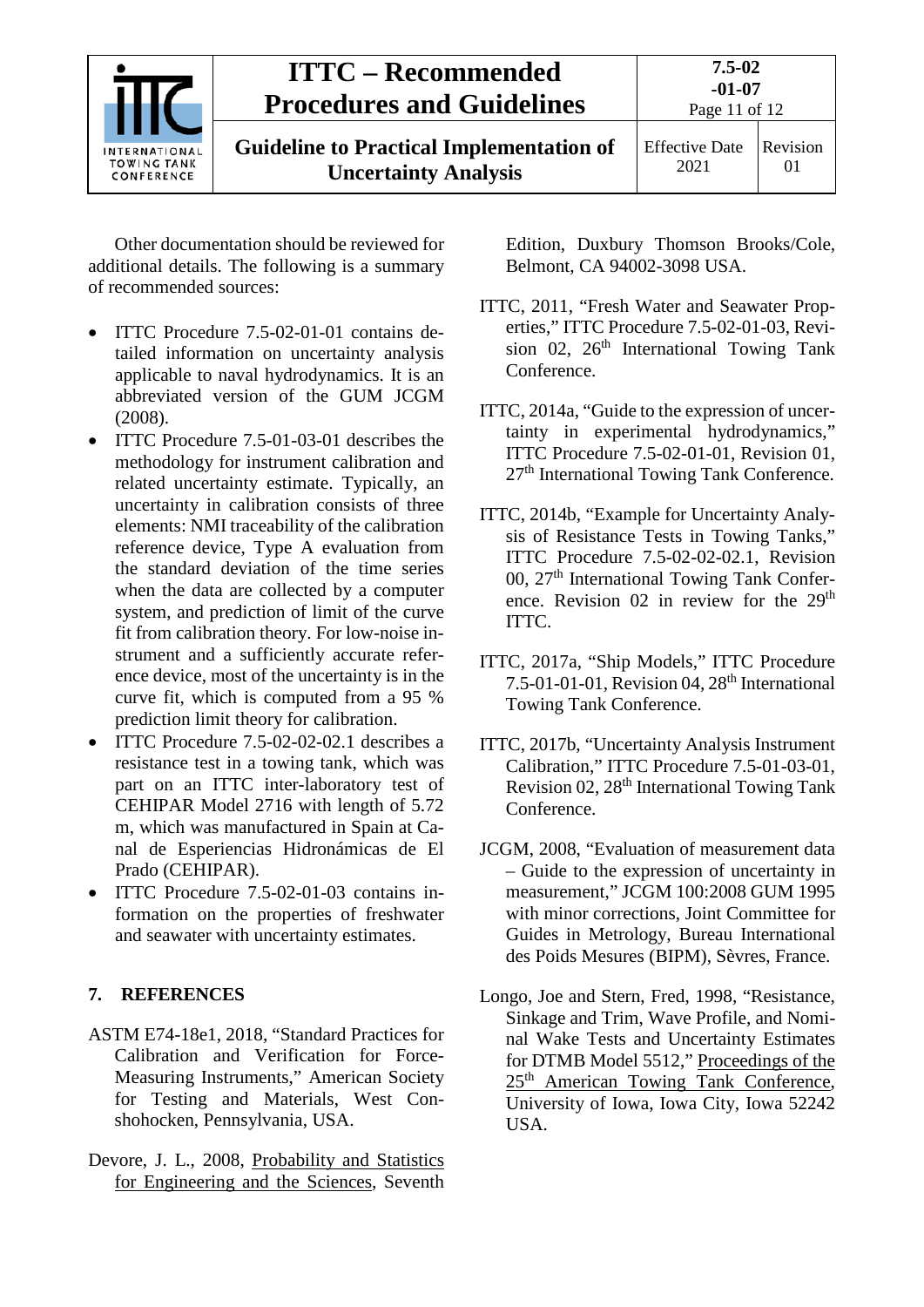| <b>INTERNATIONAL</b><br><b>TOWING TANK</b><br>CONFERENCE | <b>ITTC – Recommended</b><br><b>Procedures and Guidelines</b>                  | 7.5-02<br>$-01-07$<br>Page 11 of 12 |                      |
|----------------------------------------------------------|--------------------------------------------------------------------------------|-------------------------------------|----------------------|
|                                                          | <b>Guideline to Practical Implementation of</b><br><b>Uncertainty Analysis</b> | <b>Effective Date</b><br>2021       | Revision<br>$\Omega$ |

Other documentation should be reviewed for additional details. The following is a summary of recommended sources:

- ITTC Procedure 7.5-02-01-01 contains detailed information on uncertainty analysis applicable to naval hydrodynamics. It is an abbreviated version of the GUM JCGM (2008).
- ITTC Procedure 7.5-01-03-01 describes the methodology for instrument calibration and related uncertainty estimate. Typically, an uncertainty in calibration consists of three elements: NMI traceability of the calibration reference device, Type A evaluation from the standard deviation of the time series when the data are collected by a computer system, and prediction of limit of the curve fit from calibration theory. For low-noise instrument and a sufficiently accurate reference device, most of the uncertainty is in the curve fit, which is computed from a 95 % prediction limit theory for calibration.
- ITTC Procedure 7.5-02-02-02.1 describes a resistance test in a towing tank, which was part on an ITTC inter-laboratory test of CEHIPAR Model 2716 with length of 5.72 m, which was manufactured in Spain at Canal de Esperiencias Hidronámicas de El Prado (CEHIPAR).
- ITTC Procedure 7.5-02-01-03 contains information on the properties of freshwater and seawater with uncertainty estimates.

#### <span id="page-10-0"></span>**7. REFERENCES**

- ASTM E74-18e1, 2018, "Standard Practices for Calibration and Verification for Force-Measuring Instruments," American Society for Testing and Materials, West Conshohocken, Pennsylvania, USA.
- Devore, J. L., 2008, Probability and Statistics for Engineering and the Sciences, Seventh

Edition, Duxbury Thomson Brooks/Cole, Belmont, CA 94002-3098 USA.

- ITTC, 2011, "Fresh Water and Seawater Properties," ITTC Procedure 7.5-02-01-03, Revision 02,  $26<sup>th</sup>$  International Towing Tank Conference.
- ITTC, 2014a, "Guide to the expression of uncertainty in experimental hydrodynamics," ITTC Procedure 7.5-02-01-01, Revision 01, 27<sup>th</sup> International Towing Tank Conference.
- ITTC, 2014b, "Example for Uncertainty Analysis of Resistance Tests in Towing Tanks," ITTC Procedure 7.5-02-02-02.1, Revision 00, 27<sup>th</sup> International Towing Tank Conference. Revision 02 in review for the 29<sup>th</sup> ITTC.
- ITTC, 2017a, "Ship Models," ITTC Procedure 7.5-01-01-01, Revision 04, 28th International Towing Tank Conference.
- ITTC, 2017b, "Uncertainty Analysis Instrument Calibration," ITTC Procedure 7.5-01-03-01, Revision 02, 28<sup>th</sup> International Towing Tank Conference.
- JCGM, 2008, "Evaluation of measurement data – Guide to the expression of uncertainty in measurement," JCGM 100:2008 GUM 1995 with minor corrections, Joint Committee for Guides in Metrology, Bureau International des Poids Mesures (BIPM), Sèvres, France.
- Longo, Joe and Stern, Fred, 1998, "Resistance, Sinkage and Trim, Wave Profile, and Nominal Wake Tests and Uncertainty Estimates for DTMB Model 5512," Proceedings of the 25<sup>th</sup> American Towing Tank Conference, University of Iowa, Iowa City, Iowa 52242 USA.